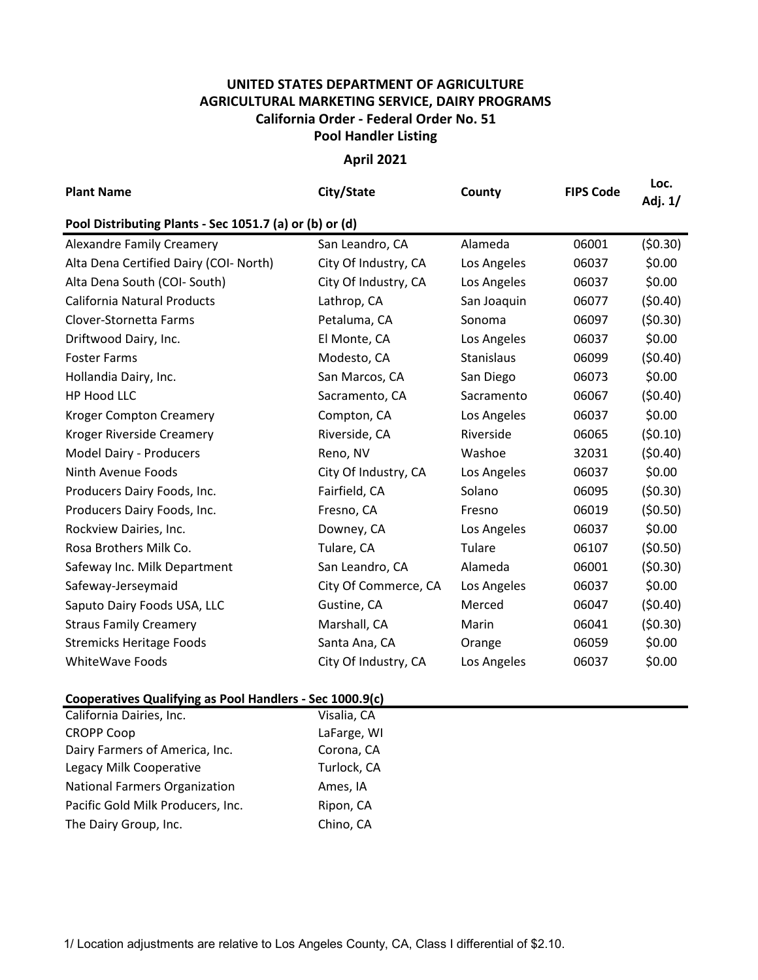## **UNITED STATES DEPARTMENT OF AGRICULTURE AGRICULTURAL MARKETING SERVICE, DAIRY PROGRAMS Pool Handler Listing California Order - Federal Order No. 51**

**April 2021**

| <b>Plant Name</b>                                       | City/State           | County      | <b>FIPS Code</b> | Loc.<br>Adj. 1/ |  |  |  |  |  |
|---------------------------------------------------------|----------------------|-------------|------------------|-----------------|--|--|--|--|--|
| Pool Distributing Plants - Sec 1051.7 (a) or (b) or (d) |                      |             |                  |                 |  |  |  |  |  |
| <b>Alexandre Family Creamery</b>                        | San Leandro, CA      | Alameda     | 06001            | (50.30)         |  |  |  |  |  |
| Alta Dena Certified Dairy (COI- North)                  | City Of Industry, CA | Los Angeles | 06037            | \$0.00          |  |  |  |  |  |
| Alta Dena South (COI- South)                            | City Of Industry, CA | Los Angeles | 06037            | \$0.00          |  |  |  |  |  |
| <b>California Natural Products</b>                      | Lathrop, CA          | San Joaquin | 06077            | (50.40)         |  |  |  |  |  |
| Clover-Stornetta Farms                                  | Petaluma, CA         | Sonoma      | 06097            | (50.30)         |  |  |  |  |  |
| Driftwood Dairy, Inc.                                   | El Monte, CA         | Los Angeles | 06037            | \$0.00          |  |  |  |  |  |
| <b>Foster Farms</b>                                     | Modesto, CA          | Stanislaus  | 06099            | (50.40)         |  |  |  |  |  |
| Hollandia Dairy, Inc.                                   | San Marcos, CA       | San Diego   | 06073            | \$0.00          |  |  |  |  |  |
| HP Hood LLC                                             | Sacramento, CA       | Sacramento  | 06067            | (50.40)         |  |  |  |  |  |
| <b>Kroger Compton Creamery</b>                          | Compton, CA          | Los Angeles | 06037            | \$0.00          |  |  |  |  |  |
| Kroger Riverside Creamery                               | Riverside, CA        | Riverside   | 06065            | (50.10)         |  |  |  |  |  |
| Model Dairy - Producers                                 | Reno, NV             | Washoe      | 32031            | (50.40)         |  |  |  |  |  |
| Ninth Avenue Foods                                      | City Of Industry, CA | Los Angeles | 06037            | \$0.00          |  |  |  |  |  |
| Producers Dairy Foods, Inc.                             | Fairfield, CA        | Solano      | 06095            | (50.30)         |  |  |  |  |  |
| Producers Dairy Foods, Inc.                             | Fresno, CA           | Fresno      | 06019            | (50.50)         |  |  |  |  |  |
| Rockview Dairies, Inc.                                  | Downey, CA           | Los Angeles | 06037            | \$0.00          |  |  |  |  |  |
| Rosa Brothers Milk Co.                                  | Tulare, CA           | Tulare      | 06107            | (50.50)         |  |  |  |  |  |
| Safeway Inc. Milk Department                            | San Leandro, CA      | Alameda     | 06001            | (50.30)         |  |  |  |  |  |
| Safeway-Jerseymaid                                      | City Of Commerce, CA | Los Angeles | 06037            | \$0.00          |  |  |  |  |  |
| Saputo Dairy Foods USA, LLC                             | Gustine, CA          | Merced      | 06047            | (50.40)         |  |  |  |  |  |
| <b>Straus Family Creamery</b>                           | Marshall, CA         | Marin       | 06041            | (50.30)         |  |  |  |  |  |
| <b>Stremicks Heritage Foods</b>                         | Santa Ana, CA        | Orange      | 06059            | \$0.00          |  |  |  |  |  |
| <b>WhiteWave Foods</b>                                  | City Of Industry, CA | Los Angeles | 06037            | \$0.00          |  |  |  |  |  |

## **Cooperatives Qualifying as Pool Handlers - Sec 1000.9(c)**

| California Dairies, Inc.             | Visalia, CA |
|--------------------------------------|-------------|
| <b>CROPP Coop</b>                    | LaFarge, WI |
| Dairy Farmers of America, Inc.       | Corona, CA  |
| Legacy Milk Cooperative              | Turlock, CA |
| <b>National Farmers Organization</b> | Ames, IA    |
| Pacific Gold Milk Producers, Inc.    | Ripon, CA   |
| The Dairy Group, Inc.                | Chino, CA   |